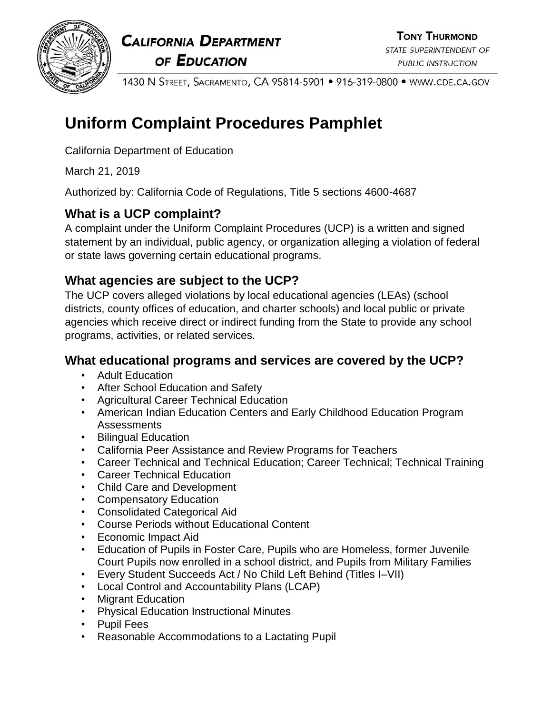

**CALIFORNIA DEPARTMENT** OF EDUCATION

1430 N STREET, SACRAMENTO, CA 95814-5901 • 916-319-0800 • WWW.CDE.CA.GOV

# **Uniform Complaint Procedures Pamphlet**

California Department of Education

March 21, 2019

Authorized by: California Code of Regulations, Title 5 sections 4600-4687

# **What is a UCP complaint?**

A complaint under the Uniform Complaint Procedures (UCP) is a written and signed statement by an individual, public agency, or organization alleging a violation of federal or state laws governing certain educational programs.

# **What agencies are subject to the UCP?**

The UCP covers alleged violations by local educational agencies (LEAs) (school districts, county offices of education, and charter schools) and local public or private agencies which receive direct or indirect funding from the State to provide any school programs, activities, or related services.

# **What educational programs and services are covered by the UCP?**

- Adult Education
- After School Education and Safety
- Agricultural Career Technical Education
- American Indian Education Centers and Early Childhood Education Program Assessments
- Bilingual Education
- California Peer Assistance and Review Programs for Teachers
- Career Technical and Technical Education; Career Technical; Technical Training
- Career Technical Education
- Child Care and Development
- Compensatory Education
- Consolidated Categorical Aid
- Course Periods without Educational Content
- Economic Impact Aid
- Education of Pupils in Foster Care, Pupils who are Homeless, former Juvenile Court Pupils now enrolled in a school district, and Pupils from Military Families
- Every Student Succeeds Act / No Child Left Behind (Titles I–VII)
- Local Control and Accountability Plans (LCAP)
- Migrant Education
- Physical Education Instructional Minutes
- Pupil Fees
- Reasonable Accommodations to a Lactating Pupil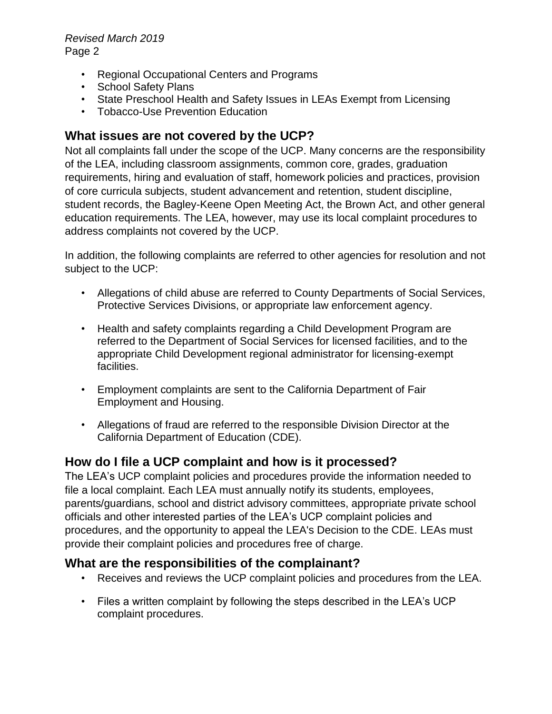- Regional Occupational Centers and Programs
- School Safety Plans
- State Preschool Health and Safety Issues in LEAs Exempt from Licensing
- Tobacco-Use Prevention Education

## **What issues are not covered by the UCP?**

Not all complaints fall under the scope of the UCP. Many concerns are the responsibility of the LEA, including classroom assignments, common core, grades, graduation requirements, hiring and evaluation of staff, homework policies and practices, provision of core curricula subjects, student advancement and retention, student discipline, student records, the Bagley-Keene Open Meeting Act, the Brown Act, and other general education requirements. The LEA, however, may use its local complaint procedures to address complaints not covered by the UCP.

In addition, the following complaints are referred to other agencies for resolution and not subject to the UCP:

- Allegations of child abuse are referred to County Departments of Social Services, Protective Services Divisions, or appropriate law enforcement agency.
- Health and safety complaints regarding a Child Development Program are referred to the Department of Social Services for licensed facilities, and to the appropriate Child Development regional administrator for licensing-exempt facilities.
- Employment complaints are sent to the California Department of Fair Employment and Housing.
- Allegations of fraud are referred to the responsible Division Director at the California Department of Education (CDE).

### **How do I file a UCP complaint and how is it processed?**

The LEA's UCP complaint policies and procedures provide the information needed to file a local complaint. Each LEA must annually notify its students, employees, parents/guardians, school and district advisory committees, appropriate private school officials and other interested parties of the LEA's UCP complaint policies and procedures, and the opportunity to appeal the LEA's Decision to the CDE. LEAs must provide their complaint policies and procedures free of charge.

### **What are the responsibilities of the complainant?**

- Receives and reviews the UCP complaint policies and procedures from the LEA.
- Files a written complaint by following the steps described in the LEA's UCP complaint procedures.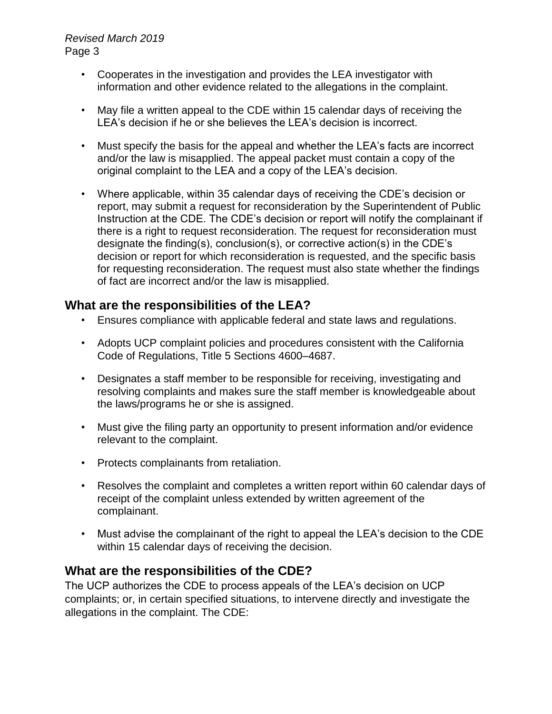- Cooperates in the investigation and provides the LEA investigator with information and other evidence related to the allegations in the complaint.
- May file a written appeal to the CDE within 15 calendar days of receiving the LEA's decision if he or she believes the LEA's decision is incorrect.
- Must specify the basis for the appeal and whether the LEA's facts are incorrect and/or the law is misapplied. The appeal packet must contain a copy of the original complaint to the LEA and a copy of the LEA's decision.
- Where applicable, within 35 calendar days of receiving the CDE's decision or report, may submit a request for reconsideration by the Superintendent of Public Instruction at the CDE. The CDE's decision or report will notify the complainant if there is a right to request reconsideration. The request for reconsideration must designate the finding(s), conclusion(s), or corrective action(s) in the CDE's decision or report for which reconsideration is requested, and the specific basis for requesting reconsideration. The request must also state whether the findings of fact are incorrect and/or the law is misapplied.

### **What are the responsibilities of the LEA?**

- Ensures compliance with applicable federal and state laws and regulations.
- Adopts UCP complaint policies and procedures consistent with the California Code of Regulations, Title 5 Sections 4600–4687.
- Designates a staff member to be responsible for receiving, investigating and resolving complaints and makes sure the staff member is knowledgeable about the laws/programs he or she is assigned.
- Must give the filing party an opportunity to present information and/or evidence relevant to the complaint.
- Protects complainants from retaliation.
- Resolves the complaint and completes a written report within 60 calendar days of receipt of the complaint unless extended by written agreement of the complainant.
- Must advise the complainant of the right to appeal the LEA's decision to the CDE within 15 calendar days of receiving the decision.

### **What are the responsibilities of the CDE?**

The UCP authorizes the CDE to process appeals of the LEA's decision on UCP complaints; or, in certain specified situations, to intervene directly and investigate the allegations in the complaint. The CDE: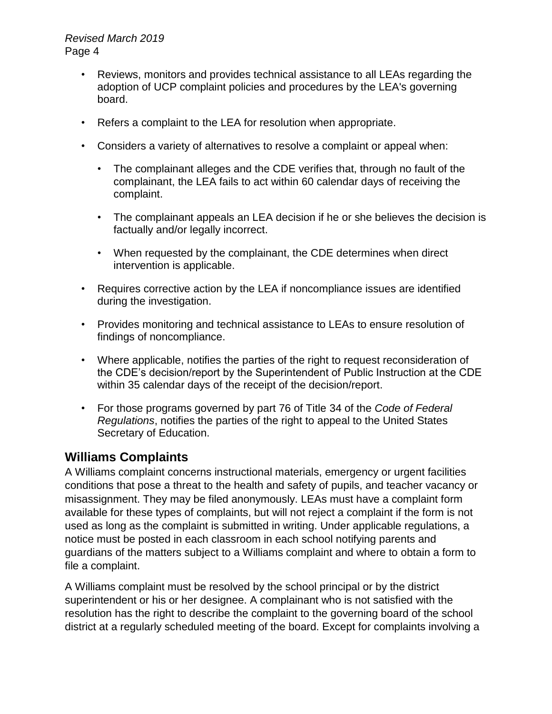- Reviews, monitors and provides technical assistance to all LEAs regarding the adoption of UCP complaint policies and procedures by the LEA's governing board.
- Refers a complaint to the LEA for resolution when appropriate.
- Considers a variety of alternatives to resolve a complaint or appeal when:
	- The complainant alleges and the CDE verifies that, through no fault of the complainant, the LEA fails to act within 60 calendar days of receiving the complaint.
	- The complainant appeals an LEA decision if he or she believes the decision is factually and/or legally incorrect.
	- When requested by the complainant, the CDE determines when direct intervention is applicable.
- Requires corrective action by the LEA if noncompliance issues are identified during the investigation.
- Provides monitoring and technical assistance to LEAs to ensure resolution of findings of noncompliance.
- Where applicable, notifies the parties of the right to request reconsideration of the CDE's decision/report by the Superintendent of Public Instruction at the CDE within 35 calendar days of the receipt of the decision/report.
- For those programs governed by part 76 of Title 34 of the *Code of Federal Regulations*, notifies the parties of the right to appeal to the United States Secretary of Education.

### **Williams Complaints**

A Williams complaint concerns instructional materials, emergency or urgent facilities conditions that pose a threat to the health and safety of pupils, and teacher vacancy or misassignment. They may be filed anonymously. LEAs must have a complaint form available for these types of complaints, but will not reject a complaint if the form is not used as long as the complaint is submitted in writing. Under applicable regulations, a notice must be posted in each classroom in each school notifying parents and guardians of the matters subject to a Williams complaint and where to obtain a form to file a complaint.

A Williams complaint must be resolved by the school principal or by the district superintendent or his or her designee. A complainant who is not satisfied with the resolution has the right to describe the complaint to the governing board of the school district at a regularly scheduled meeting of the board. Except for complaints involving a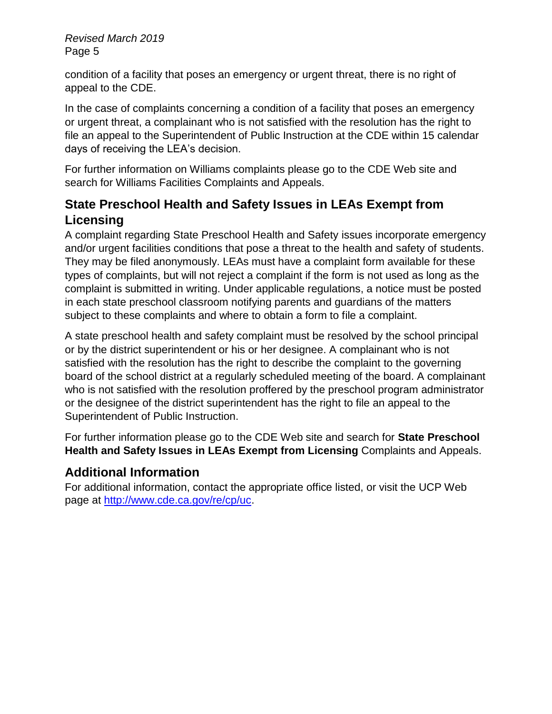condition of a facility that poses an emergency or urgent threat, there is no right of appeal to the CDE.

In the case of complaints concerning a condition of a facility that poses an emergency or urgent threat, a complainant who is not satisfied with the resolution has the right to file an appeal to the Superintendent of Public Instruction at the CDE within 15 calendar days of receiving the LEA's decision.

For further information on Williams complaints please go to the CDE Web site and search for Williams Facilities Complaints and Appeals.

## **State Preschool Health and Safety Issues in LEAs Exempt from Licensing**

A complaint regarding State Preschool Health and Safety issues incorporate emergency and/or urgent facilities conditions that pose a threat to the health and safety of students. They may be filed anonymously. LEAs must have a complaint form available for these types of complaints, but will not reject a complaint if the form is not used as long as the complaint is submitted in writing. Under applicable regulations, a notice must be posted in each state preschool classroom notifying parents and guardians of the matters subject to these complaints and where to obtain a form to file a complaint.

A state preschool health and safety complaint must be resolved by the school principal or by the district superintendent or his or her designee. A complainant who is not satisfied with the resolution has the right to describe the complaint to the governing board of the school district at a regularly scheduled meeting of the board. A complainant who is not satisfied with the resolution proffered by the preschool program administrator or the designee of the district superintendent has the right to file an appeal to the Superintendent of Public Instruction.

For further information please go to the CDE Web site and search for **State Preschool Health and Safety Issues in LEAs Exempt from Licensing** Complaints and Appeals.

# **Additional Information**

For additional information, contact the appropriate office listed, or visit the UCP Web page at [http://www.cde.ca.gov/re/cp/uc.](http://www.cde.ca.gov/re/cp/uc)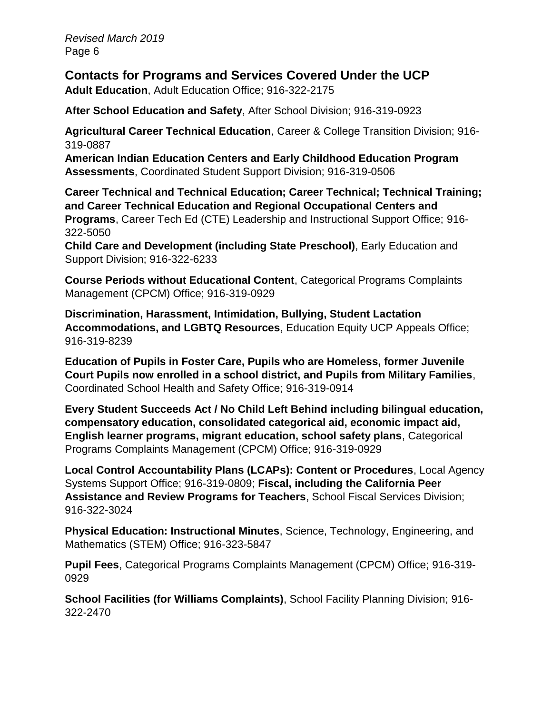**Contacts for Programs and Services Covered Under the UCP**

**Adult Education**, Adult Education Office; 916-322-2175

**After School Education and Safety**, After School Division; 916-319-0923

**Agricultural Career Technical Education**, Career & College Transition Division; 916- 319-0887

**American Indian Education Centers and Early Childhood Education Program Assessments**, Coordinated Student Support Division; 916-319-0506

**Career Technical and Technical Education; Career Technical; Technical Training; and Career Technical Education and Regional Occupational Centers and Programs**, Career Tech Ed (CTE) Leadership and Instructional Support Office; 916- 322-5050

**Child Care and Development (including State Preschool)**, Early Education and Support Division; 916-322-6233

**Course Periods without Educational Content**, Categorical Programs Complaints Management (CPCM) Office; 916-319-0929

**Discrimination, Harassment, Intimidation, Bullying, Student Lactation Accommodations, and LGBTQ Resources**, Education Equity UCP Appeals Office; 916-319-8239

**Education of Pupils in Foster Care, Pupils who are Homeless, former Juvenile Court Pupils now enrolled in a school district, and Pupils from Military Families**, Coordinated School Health and Safety Office; 916-319-0914

**Every Student Succeeds Act / No Child Left Behind including bilingual education, compensatory education, consolidated categorical aid, economic impact aid, English learner programs, migrant education, school safety plans**, Categorical Programs Complaints Management (CPCM) Office; 916-319-0929

**Local Control Accountability Plans (LCAPs): Content or Procedures**, Local Agency Systems Support Office; 916-319-0809; **Fiscal, including the California Peer Assistance and Review Programs for Teachers**, School Fiscal Services Division; 916-322-3024

**Physical Education: Instructional Minutes**, Science, Technology, Engineering, and Mathematics (STEM) Office; 916-323-5847

**Pupil Fees**, Categorical Programs Complaints Management (CPCM) Office; 916-319- 0929

**School Facilities (for Williams Complaints)**, School Facility Planning Division; 916- 322-2470